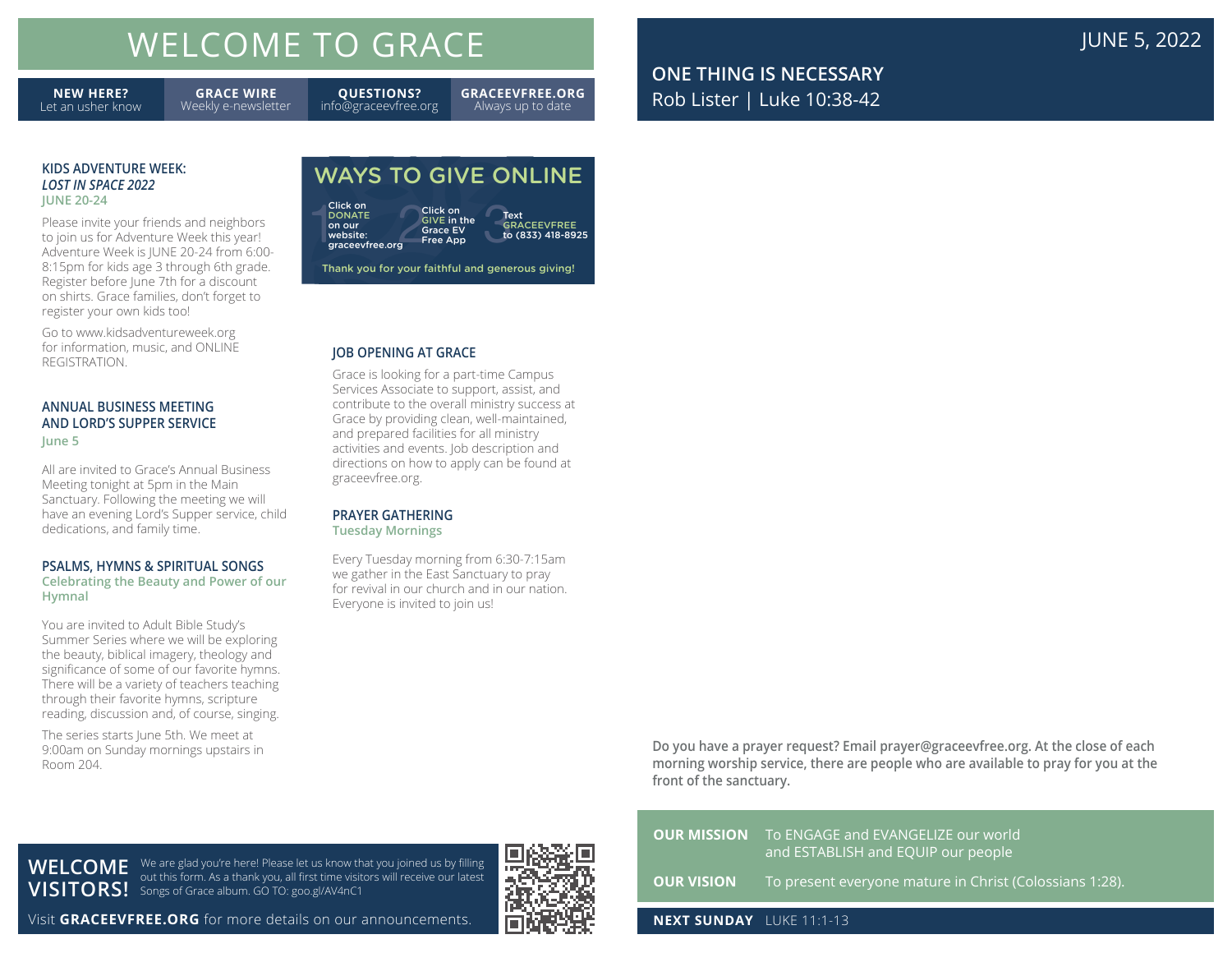# WELCOME TO GRACE **The COME TO GRACE JUNE 1999**

**NEW HERE?** Let an usher know

**GRACE WIRE** Weekly e-newsletter

**QUESTIONS?** info@graceevfree.org **GRACEEVFREE.ORG** Always up to date

**ONE THING IS NECESSARY** Rob Lister | Luke 10:38-42

#### **KIDS ADVENTURE WEEK:** *LOST IN SPACE 2022* **JUNE 20-24**

Please invite your friends and neighbors to join us for Adventure Week this year! Adventure Week is JUNE 20-24 from 6:00- 8:15pm for kids age 3 through 6th grade. Register before June 7th for a discount on shirts. Grace families, don't forget to register your own kids too!

Go to www.kidsadventureweek.org for information, music, and ONLINE REGISTRATION.

#### **ANNUAL BUSINESS MEETING AND LORD'S SUPPER SERVICE June 5**

All are invited to Grace's Annual Business Meeting tonight at 5pm in the Main Sanctuary. Following the meeting we will have an evening Lord's Supper service, child dedications, and family time.

#### **PSALMS, HYMNS & SPIRITUAL SONGS**

**Celebrating the Beauty and Power of our Hymnal**

You are invited to Adult Bible Study's Summer Series where we will be exploring the beauty, biblical imagery, theology and significance of some of our favorite hymns. There will be a variety of teachers teaching through their favorite hymns, scripture reading, discussion and, of course, singing.

The series starts June 5th. We meet at 9:00am on Sunday mornings upstairs in Room 204.

## WAYS TO GIVE ONLINE

**DONATE** on our website: graceevfree.org



Thank you for your faithful and generous giving!

#### **JOB OPENING AT GRACE**

Grace is looking for a part-time Campus Services Associate to support, assist, and contribute to the overall ministry success at Grace by providing clean, well-maintained, and prepared facilities for all ministry activities and events. Job description and directions on how to apply can be found at graceevfree.org.

#### **PRAYER GATHERING**

**Tuesday Mornings**

Every Tuesday morning from 6:30-7:15am we gather in the East Sanctuary to pray for revival in our church and in our nation. Everyone is invited to join us!

> **Do you have a prayer request? Email prayer@graceevfree.org. At the close of each morning worship service, there are people who are available to pray for you at the front of the sanctuary.**

| WELCOME          |  |
|------------------|--|
| <b>VISITORS!</b> |  |

We are glad you're here! Please let us know that you joined us by filling out this form. As a thank you, all first time visitors will receive our latest Songs of Grace album. GO TO: goo.gl/AV4nC1

Visit **GRACEEVFREE.ORG** for more details on our announcements.



|                                 | <b>OUR MISSION</b> To ENGAGE and EVANGELIZE our world<br>and ESTABLISH and EQUIP our people |
|---------------------------------|---------------------------------------------------------------------------------------------|
|                                 | <b>OUR VISION</b> To present everyone mature in Christ (Colossians 1:28).                   |
| <b>NEXT SUNDAY</b> LUKE 11:1-13 |                                                                                             |